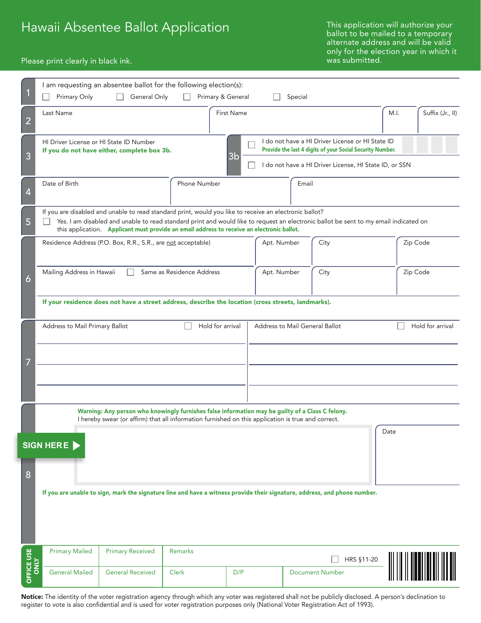# Hawaii Absentee Ballot Application

This application will authorize your ballot to be mailed to a temporary alternate address and will be valid only for the election year in which it was submitted.

#### Please print clearly in black ink.

|                     | I am requesting an absentee ballot for the following election(s):<br>Primary Only<br>General Only                                                                                                                                                                                                                                            | Primary & General |            |                                                                                                                                                                         | Special                                            |                        |          |                  |  |  |  |
|---------------------|----------------------------------------------------------------------------------------------------------------------------------------------------------------------------------------------------------------------------------------------------------------------------------------------------------------------------------------------|-------------------|------------|-------------------------------------------------------------------------------------------------------------------------------------------------------------------------|----------------------------------------------------|------------------------|----------|------------------|--|--|--|
| $\overline{2}$      | <b>First Name</b><br>Last Name                                                                                                                                                                                                                                                                                                               |                   |            |                                                                                                                                                                         |                                                    | M.I.                   |          | Suffix (Jr., II) |  |  |  |
| 3                   | HI Driver License or HI State ID Number<br>If you do not have either, complete box 3b.<br>3 <sub>b</sub>                                                                                                                                                                                                                                     |                   |            | I do not have a HI Driver License or HI State ID<br>Provide the last 4 digits of your Social Security Number.<br>I do not have a HI Driver License, HI State ID, or SSN |                                                    |                        |          |                  |  |  |  |
| $\overline{4}$      | Date of Birth                                                                                                                                                                                                                                                                                                                                | Phone Number      |            |                                                                                                                                                                         | Email                                              |                        |          |                  |  |  |  |
| 5                   | If you are disabled and unable to read standard print, would you like to receive an electronic ballot?<br>Yes. I am disabled and unable to read standard print and would like to request an electronic ballot be sent to my email indicated on<br>this application. Applicant must provide an email address to receive an electronic ballot. |                   |            |                                                                                                                                                                         |                                                    |                        |          |                  |  |  |  |
| $\ddot{\mathbf{6}}$ | Residence Address (P.O. Box, R.R., S.R., are not acceptable)                                                                                                                                                                                                                                                                                 |                   |            |                                                                                                                                                                         | City<br>Apt. Number                                |                        | Zip Code |                  |  |  |  |
|                     | Mailing Address in Hawaii<br>Same as Residence Address                                                                                                                                                                                                                                                                                       |                   |            | Apt. Number                                                                                                                                                             | City                                               |                        |          | Zip Code         |  |  |  |
|                     | If your residence does not have a street address, describe the location (cross streets, landmarks).                                                                                                                                                                                                                                          |                   |            |                                                                                                                                                                         |                                                    |                        |          |                  |  |  |  |
|                     | Hold for arrival<br>Address to Mail Primary Ballot                                                                                                                                                                                                                                                                                           |                   |            |                                                                                                                                                                         | Hold for arrival<br>Address to Mail General Ballot |                        |          |                  |  |  |  |
|                     |                                                                                                                                                                                                                                                                                                                                              |                   |            |                                                                                                                                                                         |                                                    |                        |          |                  |  |  |  |
|                     | Warning: Any person who knowingly furnishes false information may be guilty of a Class C felony.                                                                                                                                                                                                                                             |                   |            |                                                                                                                                                                         |                                                    |                        |          |                  |  |  |  |
|                     | I hereby swear (or affirm) that all information furnished on this application is true and correct.<br>Date                                                                                                                                                                                                                                   |                   |            |                                                                                                                                                                         |                                                    |                        |          |                  |  |  |  |
|                     | SIGN HERE                                                                                                                                                                                                                                                                                                                                    |                   |            |                                                                                                                                                                         |                                                    |                        |          |                  |  |  |  |
| 8                   | If you are unable to sign, mark the signature line and have a witness provide their signature, address, and phone number.                                                                                                                                                                                                                    |                   |            |                                                                                                                                                                         |                                                    |                        |          |                  |  |  |  |
|                     |                                                                                                                                                                                                                                                                                                                                              |                   |            |                                                                                                                                                                         |                                                    |                        |          |                  |  |  |  |
| OFFICE USE<br>ONLY  | <b>Primary Mailed</b><br><b>Primary Received</b>                                                                                                                                                                                                                                                                                             | Remarks           | HRS §11-20 |                                                                                                                                                                         |                                                    |                        |          |                  |  |  |  |
|                     | <b>General Mailed</b><br><b>General Received</b>                                                                                                                                                                                                                                                                                             | <b>Clerk</b>      | D/P        |                                                                                                                                                                         |                                                    | <b>Document Number</b> |          |                  |  |  |  |

Notice: The identity of the voter registration agency through which any voter was registered shall not be publicly disclosed. A person's declination to register to vote is also confidential and is used for voter registration purposes only (National Voter Registration Act of 1993).